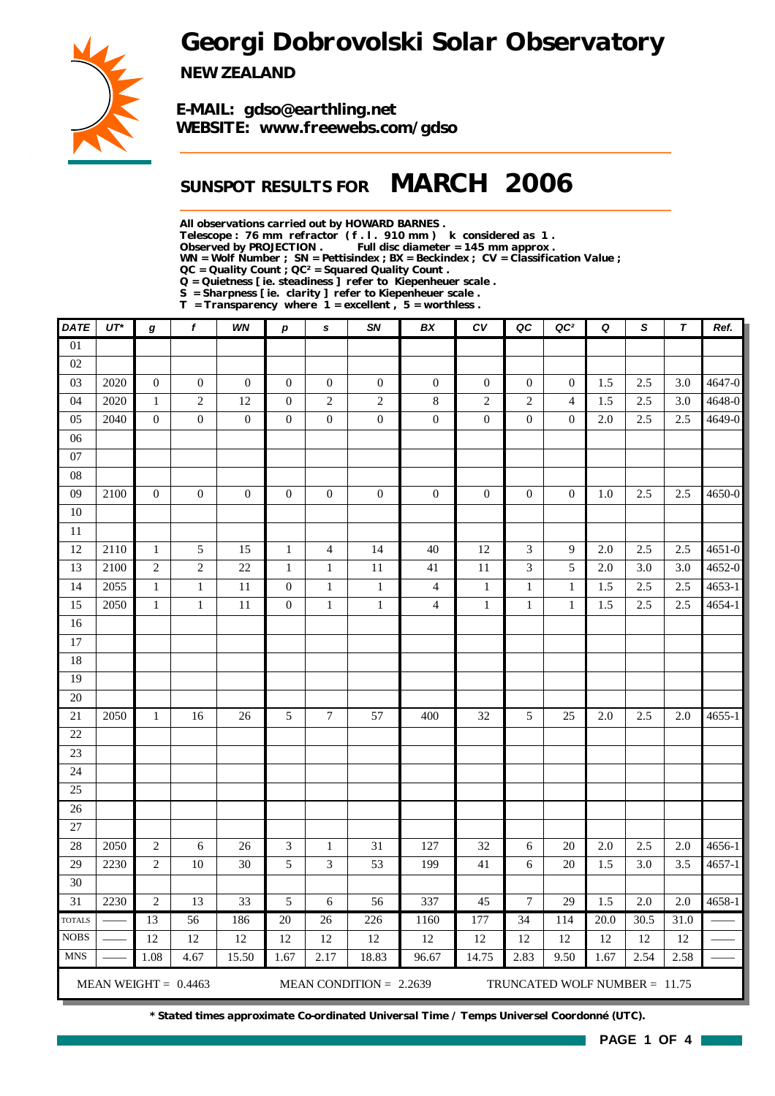# *Georgi Dobrovolski Solar Observatory*



*NEW ZEALAND*

*E-MAIL: gdso@earthling.net WEBSITE: www.freewebs.com/gdso*

## *SUNSPOT RESULTS FOR MARCH 2006*

*All observations carried out by HOWARD BARNES .*

*Telescope : 76 mm refractor ( f . l . 910 mm ) k considered as 1 .*

Full disc diameter = 145 mm approx .

*WN = Wolf Number ; SN = Pettisindex ; BX = Beckindex ; CV = Classification Value ;*

*QC = Quality Count ; QC² = Squared Quality Count .*

*Q = Quietness [ ie. steadiness ] refer to Kiepenheuer scale .*

*S = Sharpness [ ie. clarity ] refer to Kiepenheuer scale . T = Transparency where 1 = excellent , 5 = worthless .*

| DATE            | $UT^*$ | g                | f                      | WN               | $\boldsymbol{p}$ | $\pmb{s}$                   | SN                        | BX               | CV               | QC               | QC <sup>2</sup>                 | Q                 | S                | T    | Ref.       |
|-----------------|--------|------------------|------------------------|------------------|------------------|-----------------------------|---------------------------|------------------|------------------|------------------|---------------------------------|-------------------|------------------|------|------------|
| $\overline{01}$ |        |                  |                        |                  |                  |                             |                           |                  |                  |                  |                                 |                   |                  |      |            |
| 02              |        |                  |                        |                  |                  |                             |                           |                  |                  |                  |                                 |                   |                  |      |            |
| 03              | 2020   | $\boldsymbol{0}$ | $\boldsymbol{0}$       | $\boldsymbol{0}$ | $\boldsymbol{0}$ | $\boldsymbol{0}$            | $\mathbf{0}$              | $\mathbf{0}$     | $\boldsymbol{0}$ | $\mathbf{0}$     | $\overline{0}$                  | 1.5               | 2.5              | 3.0  | 4647-0     |
| 04              | 2020   | $\mathbf 1$      | $\sqrt{2}$             | 12               | $\boldsymbol{0}$ | $\sqrt{2}$                  | $\overline{c}$            | $\,8\,$          | $\sqrt{2}$       | $\mathfrak{2}$   | $\overline{4}$                  | 1.5               | 2.5              | 3.0  | 4648-0     |
| 05              | 2040   | $\boldsymbol{0}$ | $\boldsymbol{0}$       | $\boldsymbol{0}$ | $\boldsymbol{0}$ | $\boldsymbol{0}$            | $\boldsymbol{0}$          | $\boldsymbol{0}$ | $\boldsymbol{0}$ | $\boldsymbol{0}$ | $\boldsymbol{0}$                | 2.0               | 2.5              | 2.5  | 4649-0     |
| 06              |        |                  |                        |                  |                  |                             |                           |                  |                  |                  |                                 |                   |                  |      |            |
| 07              |        |                  |                        |                  |                  |                             |                           |                  |                  |                  |                                 |                   |                  |      |            |
| $08\,$          |        |                  |                        |                  |                  |                             |                           |                  |                  |                  |                                 |                   |                  |      |            |
| 09              | 2100   | $\boldsymbol{0}$ | $\boldsymbol{0}$       | $\boldsymbol{0}$ | $\boldsymbol{0}$ | $\boldsymbol{0}$            | $\boldsymbol{0}$          | $\mathbf{0}$     | $\boldsymbol{0}$ | $\mathbf{0}$     | $\mathbf{0}$                    | 1.0               | 2.5              | 2.5  | 4650-0     |
| 10              |        |                  |                        |                  |                  |                             |                           |                  |                  |                  |                                 |                   |                  |      |            |
| 11              |        |                  |                        |                  |                  |                             |                           |                  |                  |                  |                                 |                   |                  |      |            |
| 12              | 2110   | $\mathbf{1}$     | 5                      | 15               | $\mathbf{1}$     | $\overline{\mathcal{L}}$    | 14                        | 40               | 12               | 3                | 9                               | 2.0               | 2.5              | 2.5  | $4651 - 0$ |
| 13              | 2100   | $\sqrt{2}$       | $\sqrt{2}$             | 22               | $\mathbf 1$      | $\mathbf 1$                 | 11                        | 41               | $11\,$           | 3                | $\sqrt{5}$                      | 2.0               | 3.0              | 3.0  | 4652-0     |
| 14              | 2055   | $\mathbf 1$      | $\mathbf 1$            | $11\,$           | $\boldsymbol{0}$ | $\mathbf 1$                 | $\,1\,$                   | $\overline{4}$   | $\,1\,$          | $\mathbf{1}$     | $\mathbf{1}$                    | 1.5               | 2.5              | 2.5  | $4653-1$   |
| 15              | 2050   | $\mathbf{1}$     | $\mathbf{1}$           | 11               | $\boldsymbol{0}$ | $\mathbf{1}$                | $\,1$                     | $\overline{4}$   | $\mathbf{1}$     | $\mathbf{1}$     | $\,1\,$                         | 1.5               | $2.5\,$          | 2.5  | $4654 - 1$ |
| 16              |        |                  |                        |                  |                  |                             |                           |                  |                  |                  |                                 |                   |                  |      |            |
| 17              |        |                  |                        |                  |                  |                             |                           |                  |                  |                  |                                 |                   |                  |      |            |
| 18              |        |                  |                        |                  |                  |                             |                           |                  |                  |                  |                                 |                   |                  |      |            |
| 19              |        |                  |                        |                  |                  |                             |                           |                  |                  |                  |                                 |                   |                  |      |            |
| 20              |        |                  |                        |                  |                  |                             |                           |                  |                  |                  |                                 |                   |                  |      |            |
| 21              | 2050   | $\mathbf{1}$     | 16                     | 26               | 5                | $\tau$                      | 57                        | 400              | 32               | 5                | 25                              | 2.0               | 2.5              | 2.0  | $4655 - 1$ |
| 22              |        |                  |                        |                  |                  |                             |                           |                  |                  |                  |                                 |                   |                  |      |            |
| 23              |        |                  |                        |                  |                  |                             |                           |                  |                  |                  |                                 |                   |                  |      |            |
| 24              |        |                  |                        |                  |                  |                             |                           |                  |                  |                  |                                 |                   |                  |      |            |
| 25<br>26        |        |                  |                        |                  |                  |                             |                           |                  |                  |                  |                                 |                   |                  |      |            |
| 27              |        |                  |                        |                  |                  |                             |                           |                  |                  |                  |                                 |                   |                  |      |            |
| 28              | 2050   | $\sqrt{2}$       | 6                      | 26               | $\mathfrak{Z}$   | $\mathbf 1$                 | 31                        | 127              | 32               | 6                | 20                              | 2.0               | 2.5              | 2.0  | 4656-1     |
| 29              | 2230   | $\sqrt{2}$       | $10\,$                 | 30               | $\sqrt{5}$       | $\ensuremath{\mathfrak{Z}}$ | 53                        | 199              | 41               | 6                | 20                              | 1.5               | 3.0              | 3.5  | $4657 - 1$ |
| 30              |        |                  |                        |                  |                  |                             |                           |                  |                  |                  |                                 |                   |                  |      |            |
| $\overline{31}$ | 2230   | $\sqrt{2}$       | 13                     | 33               | 5                | $\sqrt{6}$                  | 56                        | 337              | 45               | $\boldsymbol{7}$ | 29                              | 1.5               | $\overline{2.0}$ | 2.0  | 4658-1     |
| <b>TOTALS</b>   |        | $\overline{13}$  | $\overline{56}$        | 186              | $\overline{20}$  | $\overline{26}$             | 226                       | 1160             | 177              | $\overline{34}$  | 114                             | $\overline{20.0}$ | 30.5             | 31.0 |            |
| <b>NOBS</b>     |        | 12               | 12                     | 12               | 12               | 12                          | 12                        | 12               | 12               | 12               | 12                              | 12                | 12               | 12   |            |
| <b>MNS</b>      |        | 1.08             | 4.67                   | 15.50            | 1.67             | 2.17                        | 18.83                     | 96.67            | 14.75            | 2.83             | 9.50                            | 1.67              | 2.54             | 2.58 |            |
|                 |        |                  |                        |                  |                  |                             |                           |                  |                  |                  |                                 |                   |                  |      |            |
|                 |        |                  | MEAN WEIGHT = $0.4463$ |                  |                  |                             | MEAN CONDITION = $2.2639$ |                  |                  |                  | TRUNCATED WOLF NUMBER = $11.75$ |                   |                  |      |            |

*\* Stated times approximate Co-ordinated Universal Time / Temps Universel Coordonné (UTC).*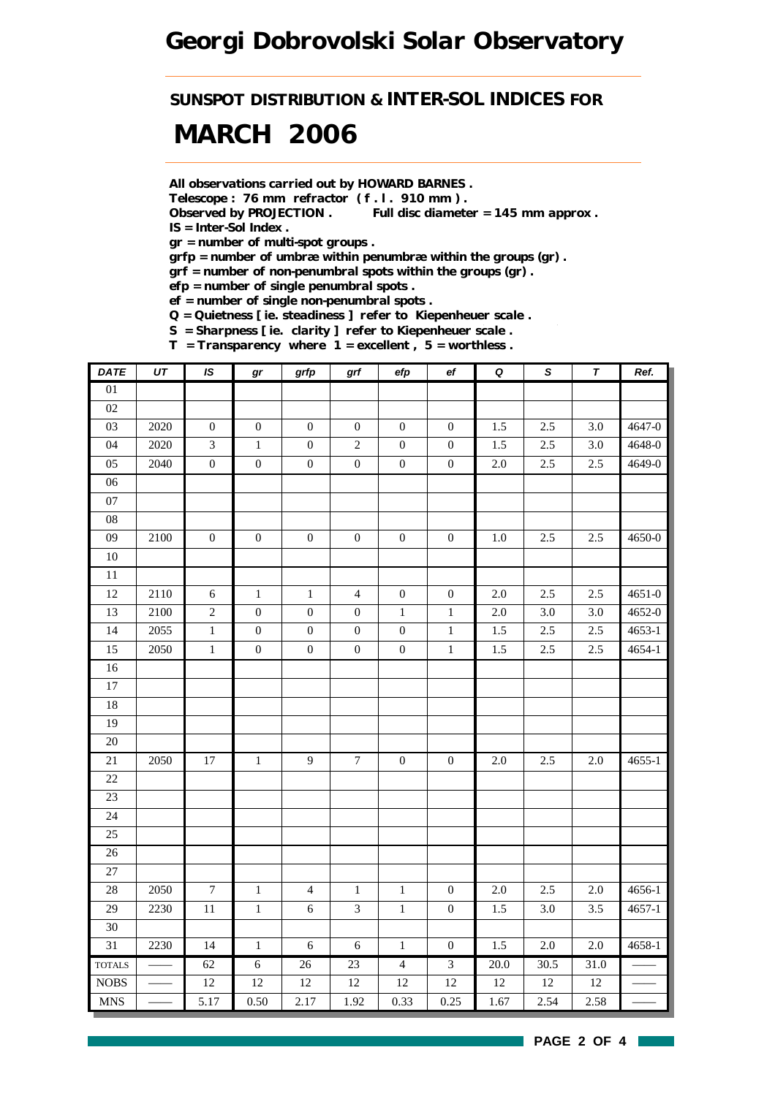*SUNSPOT DISTRIBUTION & INTER-SOL INDICES FOR*

# *MARCH 2006*

*All observations carried out by HOWARD BARNES .*

*Telescope : 76 mm refractor ( f . l . 910 mm ) .*

*Observed by PROJECTION . Full disc diameter = 145 mm approx . IS = Inter-Sol Index .*

*gr = number of multi-spot groups .*

*grfp = number of umbræ within penumbræ within the groups (gr) .*

*grf = number of non-penumbral spots within the groups (gr) .*

*efp = number of single penumbral spots .*

*ef = number of single non-penumbral spots .*

*Q = Quietness [ ie. steadiness ] refer to Kiepenheuer scale .*

*S = Sharpness [ ie. clarity ] refer to Kiepenheuer scale .*

*T = Transparency where 1 = excellent , 5 = worthless .*

| DATE            | UT   | IS.              | gr               | grfp             | grf              | efp              | ef               | $\pmb Q$ | S      | T       | Ref.       |
|-----------------|------|------------------|------------------|------------------|------------------|------------------|------------------|----------|--------|---------|------------|
| $\overline{01}$ |      |                  |                  |                  |                  |                  |                  |          |        |         |            |
| 02              |      |                  |                  |                  |                  |                  |                  |          |        |         |            |
| 03              | 2020 | $\boldsymbol{0}$ | $\boldsymbol{0}$ | $\boldsymbol{0}$ | $\boldsymbol{0}$ | $\boldsymbol{0}$ | $\mathbf{0}$     | 1.5      | 2.5    | 3.0     | 4647-0     |
| 04              | 2020 | 3                | $\,1$            | $\boldsymbol{0}$ | $\sqrt{2}$       | $\boldsymbol{0}$ | $\mathbf{0}$     | 1.5      | 2.5    | 3.0     | 4648-0     |
| 05              | 2040 | $\boldsymbol{0}$ | $\boldsymbol{0}$ | $\boldsymbol{0}$ | $\boldsymbol{0}$ | $\boldsymbol{0}$ | $\boldsymbol{0}$ | $2.0\,$  | 2.5    | 2.5     | 4649-0     |
| 06              |      |                  |                  |                  |                  |                  |                  |          |        |         |            |
| 07              |      |                  |                  |                  |                  |                  |                  |          |        |         |            |
| ${\bf 08}$      |      |                  |                  |                  |                  |                  |                  |          |        |         |            |
| 09              | 2100 | $\boldsymbol{0}$ | $\boldsymbol{0}$ | $\boldsymbol{0}$ | $\boldsymbol{0}$ | $\boldsymbol{0}$ | $\boldsymbol{0}$ | $1.0\,$  | 2.5    | 2.5     | 4650-0     |
| $10\,$          |      |                  |                  |                  |                  |                  |                  |          |        |         |            |
| $\overline{11}$ |      |                  |                  |                  |                  |                  |                  |          |        |         |            |
| 12              | 2110 | $\sqrt{6}$       | $\,1$            | $\mathbf{1}$     | $\overline{4}$   | $\boldsymbol{0}$ | $\boldsymbol{0}$ | $2.0\,$  | 2.5    | 2.5     | $4651 - 0$ |
| 13              | 2100 | $\overline{c}$   | $\boldsymbol{0}$ | $\boldsymbol{0}$ | $\mathbf{0}$     | $\mathbf{1}$     | $\mathbf{1}$     | $2.0\,$  | 3.0    | 3.0     | 4652-0     |
| 14              | 2055 | $\mathbf 1$      | $\boldsymbol{0}$ | $\boldsymbol{0}$ | $\boldsymbol{0}$ | $\boldsymbol{0}$ | $1\,$            | 1.5      | 2.5    | 2.5     | $4653 - 1$ |
| 15              | 2050 | $1\,$            | $\boldsymbol{0}$ | $\boldsymbol{0}$ | $\boldsymbol{0}$ | $\boldsymbol{0}$ | $\mathbf{1}$     | 1.5      | 2.5    | 2.5     | 4654-1     |
| $16\,$          |      |                  |                  |                  |                  |                  |                  |          |        |         |            |
| $17\,$          |      |                  |                  |                  |                  |                  |                  |          |        |         |            |
| $18\,$          |      |                  |                  |                  |                  |                  |                  |          |        |         |            |
| 19              |      |                  |                  |                  |                  |                  |                  |          |        |         |            |
| 20              |      |                  |                  |                  |                  |                  |                  |          |        |         |            |
| 21              | 2050 | $17\,$           | $\,1$            | 9                | $\boldsymbol{7}$ | $\boldsymbol{0}$ | $\boldsymbol{0}$ | $2.0\,$  | 2.5    | $2.0\,$ | $4655 - 1$ |
| 22              |      |                  |                  |                  |                  |                  |                  |          |        |         |            |
| 23              |      |                  |                  |                  |                  |                  |                  |          |        |         |            |
| 24              |      |                  |                  |                  |                  |                  |                  |          |        |         |            |
| 25              |      |                  |                  |                  |                  |                  |                  |          |        |         |            |
| 26              |      |                  |                  |                  |                  |                  |                  |          |        |         |            |
| 27              |      |                  |                  |                  |                  |                  |                  |          |        |         |            |
| 28              | 2050 | $\boldsymbol{7}$ | $\,1\,$          | $\overline{4}$   | $\mathbf{1}$     | $\mathbf{1}$     | $\mathbf{0}$     | $2.0\,$  | 2.5    | $2.0\,$ | 4656-1     |
| 29              | 2230 | $11\,$           | $\overline{1}$   | 6                | 3                | $1\,$            | $\boldsymbol{0}$ | 1.5      | 3.0    | 3.5     | $4657 - 1$ |
| 30              |      |                  |                  |                  |                  |                  |                  |          |        |         |            |
| 31              | 2230 | 14               | $\,1$            | $\sqrt{6}$       | $\sqrt{6}$       | $\,1\,$          | $\boldsymbol{0}$ | 1.5      | 2.0    | $2.0\,$ | 4658-1     |
| <b>TOTALS</b>   |      | 62               | $\overline{6}$   | 26               | 23               | $\overline{4}$   | $\overline{3}$   | 20.0     | 30.5   | 31.0    |            |
| $\rm{NOBS}$     |      | 12               | $12\,$           | $12\,$           | $12\,$           | $12\,$           | $12\,$           | $12\,$   | $12\,$ | $12\,$  |            |
| <b>MNS</b>      |      | 5.17             | 0.50             | 2.17             | 1.92             | 0.33             | 0.25             | 1.67     | 2.54   | 2.58    |            |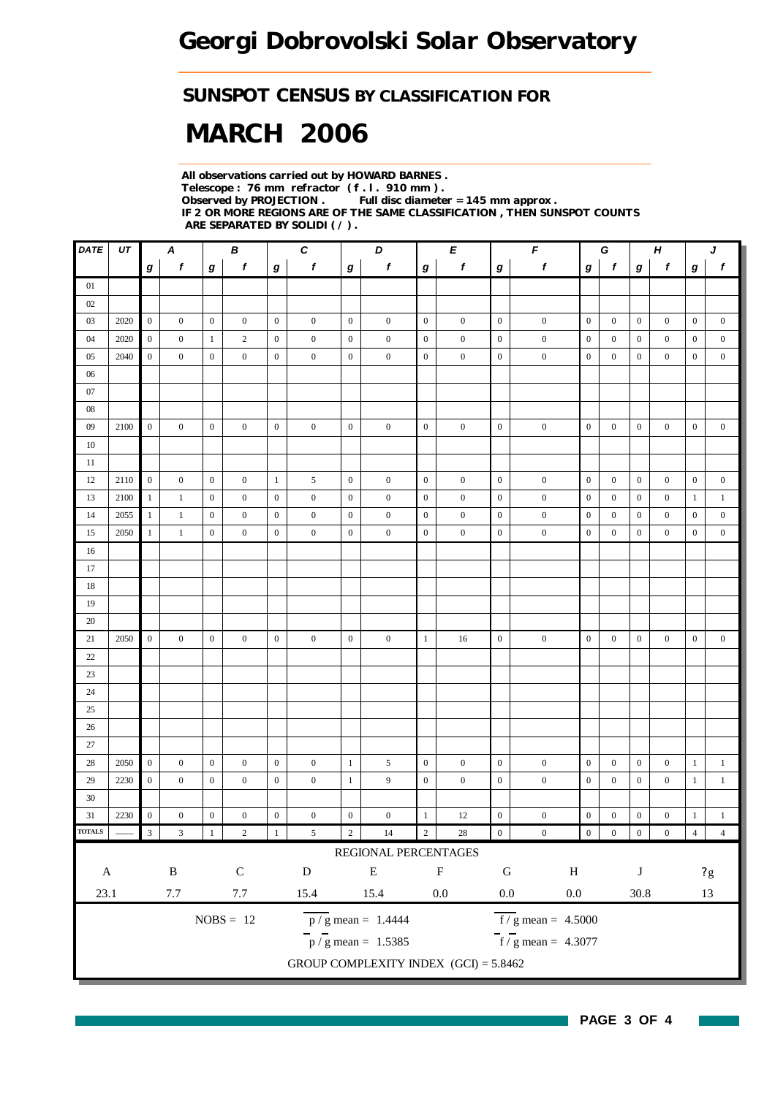### *SUNSPOT CENSUS BY CLASSIFICATION FOR*

# *MARCH 2006*

*All observations carried out by HOWARD BARNES . Telescope : 76 mm refractor ( f . l . 910 mm ) . Full disc diameter = 145 mm approx . IF 2 OR MORE REGIONS ARE OF THE SAME CLASSIFICATION , THEN SUNSPOT COUNTS ARE SEPARATED BY SOLIDI ( / ) .*

| $\pmb{DATE}$  | UT   | A<br>В                      |                           |                  | C<br>D           |                  |                  | Е                |                                         | $\pmb{\digamma}$ |                  | G                |                                           | $\boldsymbol{H}$ |                  | J                |                  |                  |                          |
|---------------|------|-----------------------------|---------------------------|------------------|------------------|------------------|------------------|------------------|-----------------------------------------|------------------|------------------|------------------|-------------------------------------------|------------------|------------------|------------------|------------------|------------------|--------------------------|
|               |      | g                           | $\boldsymbol{f}$          | g                | $\pmb{f}$        | $\boldsymbol{g}$ | $\boldsymbol{f}$ | $\boldsymbol{g}$ | f                                       | $\bm{g}$         | f                | g                | $\pmb{f}$                                 | g                | $\mathbf f$      | $\bm{g}$         | f                | g                | $\mathbf{f}$             |
| 01            |      |                             |                           |                  |                  |                  |                  |                  |                                         |                  |                  |                  |                                           |                  |                  |                  |                  |                  |                          |
| 02            |      |                             |                           |                  |                  |                  |                  |                  |                                         |                  |                  |                  |                                           |                  |                  |                  |                  |                  |                          |
| 03            | 2020 | $\boldsymbol{0}$            | $\boldsymbol{0}$          | $\boldsymbol{0}$ | $\boldsymbol{0}$ | $\mathbf{0}$     | $\boldsymbol{0}$ | $\boldsymbol{0}$ | $\boldsymbol{0}$                        | $\mathbf{0}$     | $\boldsymbol{0}$ | $\boldsymbol{0}$ | $\boldsymbol{0}$                          | $\boldsymbol{0}$ | $\mathbf{0}$     | $\boldsymbol{0}$ | $\boldsymbol{0}$ | $\boldsymbol{0}$ | $\boldsymbol{0}$         |
| 04            | 2020 | $\boldsymbol{0}$            | $\boldsymbol{0}$          | $\mathbf{1}$     | $\sqrt{2}$       | $\mathbf{0}$     | $\boldsymbol{0}$ | $\boldsymbol{0}$ | $\boldsymbol{0}$                        | $\mathbf{0}$     | $\boldsymbol{0}$ | $\boldsymbol{0}$ | $\boldsymbol{0}$                          | $\boldsymbol{0}$ | $\boldsymbol{0}$ | $\bf{0}$         | $\boldsymbol{0}$ | $\mathbf{0}$     | $\boldsymbol{0}$         |
| 05            | 2040 | $\boldsymbol{0}$            | $\mathbf{0}$              | $\mathbf{0}$     | $\mathbf{0}$     | $\boldsymbol{0}$ | $\boldsymbol{0}$ | $\boldsymbol{0}$ | $\boldsymbol{0}$                        | $\boldsymbol{0}$ | $\boldsymbol{0}$ | $\boldsymbol{0}$ | $\boldsymbol{0}$                          | $\mathbf{0}$     | $\boldsymbol{0}$ | $\boldsymbol{0}$ | $\mathbf{0}$     | $\mathbf{0}$     | $\boldsymbol{0}$         |
| 06            |      |                             |                           |                  |                  |                  |                  |                  |                                         |                  |                  |                  |                                           |                  |                  |                  |                  |                  |                          |
| 07            |      |                             |                           |                  |                  |                  |                  |                  |                                         |                  |                  |                  |                                           |                  |                  |                  |                  |                  |                          |
| $08\,$        |      |                             |                           |                  |                  |                  |                  |                  |                                         |                  |                  |                  |                                           |                  |                  |                  |                  |                  |                          |
| 09            | 2100 | $\overline{0}$              | $\boldsymbol{0}$          | $\boldsymbol{0}$ | $\boldsymbol{0}$ | $\boldsymbol{0}$ | $\boldsymbol{0}$ | $\boldsymbol{0}$ | $\boldsymbol{0}$                        | $\mathbf{0}$     | $\boldsymbol{0}$ | $\boldsymbol{0}$ | $\boldsymbol{0}$                          | $\mathbf{0}$     | $\boldsymbol{0}$ | $\bf{0}$         | $\boldsymbol{0}$ | $\boldsymbol{0}$ | $\boldsymbol{0}$         |
| 10            |      |                             |                           |                  |                  |                  |                  |                  |                                         |                  |                  |                  |                                           |                  |                  |                  |                  |                  |                          |
| 11            |      |                             |                           |                  |                  |                  |                  |                  |                                         |                  |                  |                  |                                           |                  |                  |                  |                  |                  |                          |
| 12            | 2110 | $\overline{0}$              | $\boldsymbol{0}$          | $\mathbf{0}$     | $\mathbf{0}$     | $\mathbf{1}$     | 5                | $\boldsymbol{0}$ | $\boldsymbol{0}$                        | $\mathbf{0}$     | $\boldsymbol{0}$ | $\boldsymbol{0}$ | $\boldsymbol{0}$                          | $\mathbf{0}$     | $\boldsymbol{0}$ | $\boldsymbol{0}$ | $\boldsymbol{0}$ | $\boldsymbol{0}$ | $\boldsymbol{0}$         |
| 13            | 2100 | $\mathbf{1}$                | $\mathbf{1}$              | $\boldsymbol{0}$ | $\boldsymbol{0}$ | $\boldsymbol{0}$ | $\boldsymbol{0}$ | $\boldsymbol{0}$ | $\boldsymbol{0}$                        | $\boldsymbol{0}$ | $\boldsymbol{0}$ | $\boldsymbol{0}$ | $\boldsymbol{0}$                          | $\boldsymbol{0}$ | $\boldsymbol{0}$ | $\boldsymbol{0}$ | $\boldsymbol{0}$ | $\mathbf{1}$     | $\mathbf{1}$             |
| 14            | 2055 | $\mathbf{1}$                | $\,1\,$                   | $\mathbf{0}$     | $\mathbf{0}$     | $\mathbf{0}$     | $\boldsymbol{0}$ | $\boldsymbol{0}$ | $\boldsymbol{0}$                        | $\boldsymbol{0}$ | $\boldsymbol{0}$ | $\boldsymbol{0}$ | $\boldsymbol{0}$                          | $\overline{0}$   | $\boldsymbol{0}$ | $\mathbf{0}$     | $\mathbf{0}$     | $\boldsymbol{0}$ | $\boldsymbol{0}$         |
| 15            | 2050 | $\mathbf{1}$                | $\mathbf{1}$              | $\boldsymbol{0}$ | $\boldsymbol{0}$ | $\boldsymbol{0}$ | $\boldsymbol{0}$ | $\boldsymbol{0}$ | $\boldsymbol{0}$                        | $\boldsymbol{0}$ | $\boldsymbol{0}$ | $\boldsymbol{0}$ | $\boldsymbol{0}$                          | $\boldsymbol{0}$ | $\boldsymbol{0}$ | $\boldsymbol{0}$ | $\boldsymbol{0}$ | $\boldsymbol{0}$ | $\boldsymbol{0}$         |
| 16            |      |                             |                           |                  |                  |                  |                  |                  |                                         |                  |                  |                  |                                           |                  |                  |                  |                  |                  |                          |
| 17            |      |                             |                           |                  |                  |                  |                  |                  |                                         |                  |                  |                  |                                           |                  |                  |                  |                  |                  |                          |
| 18            |      |                             |                           |                  |                  |                  |                  |                  |                                         |                  |                  |                  |                                           |                  |                  |                  |                  |                  |                          |
| 19            |      |                             |                           |                  |                  |                  |                  |                  |                                         |                  |                  |                  |                                           |                  |                  |                  |                  |                  |                          |
| 20            |      |                             |                           |                  |                  |                  |                  |                  |                                         |                  |                  |                  |                                           |                  |                  |                  |                  |                  |                          |
| 21            | 2050 | $\overline{0}$              | $\overline{0}$            | $\boldsymbol{0}$ | $\overline{0}$   | $\mathbf{0}$     | $\boldsymbol{0}$ | $\boldsymbol{0}$ | $\mathbf{0}$                            | $\mathbf{1}$     | 16               | $\boldsymbol{0}$ | $\boldsymbol{0}$                          | $\mathbf{0}$     | $\boldsymbol{0}$ | $\boldsymbol{0}$ | $\boldsymbol{0}$ | $\boldsymbol{0}$ | $\boldsymbol{0}$         |
| 22            |      |                             |                           |                  |                  |                  |                  |                  |                                         |                  |                  |                  |                                           |                  |                  |                  |                  |                  |                          |
| 23            |      |                             |                           |                  |                  |                  |                  |                  |                                         |                  |                  |                  |                                           |                  |                  |                  |                  |                  |                          |
| 24            |      |                             |                           |                  |                  |                  |                  |                  |                                         |                  |                  |                  |                                           |                  |                  |                  |                  |                  |                          |
| 25            |      |                             |                           |                  |                  |                  |                  |                  |                                         |                  |                  |                  |                                           |                  |                  |                  |                  |                  |                          |
| 26            |      |                             |                           |                  |                  |                  |                  |                  |                                         |                  |                  |                  |                                           |                  |                  |                  |                  |                  |                          |
| 27            |      |                             |                           |                  |                  |                  |                  |                  |                                         |                  |                  |                  |                                           |                  |                  |                  |                  |                  |                          |
| 28            | 2050 | $\overline{0}$              | $\boldsymbol{0}$          | $\boldsymbol{0}$ | $\boldsymbol{0}$ | $\mathbf{0}$     | $\boldsymbol{0}$ | $\mathbf{1}$     | 5                                       | $\boldsymbol{0}$ | $\boldsymbol{0}$ | $\boldsymbol{0}$ | $\boldsymbol{0}$                          | $\boldsymbol{0}$ | $\boldsymbol{0}$ | $\bf{0}$         | $\boldsymbol{0}$ | $\mathbf{1}$     | $\mathbf{1}$             |
| 29            | 2230 | $\boldsymbol{0}$            | $\mathbf{0}$              | $\mathbf{0}$     | $\mathbf{0}$     | $\boldsymbol{0}$ | $\boldsymbol{0}$ | $\mathbf{1}$     | 9                                       | $\boldsymbol{0}$ | $\boldsymbol{0}$ | $\boldsymbol{0}$ | $\boldsymbol{0}$                          | $\boldsymbol{0}$ | $\boldsymbol{0}$ | $\bf{0}$         | $\overline{0}$   | $\mathbf{1}$     | $\mathbf{1}$             |
| 30            |      |                             |                           |                  |                  |                  |                  |                  |                                         |                  |                  |                  |                                           |                  |                  |                  |                  |                  |                          |
| 31            | 2230 | $\boldsymbol{0}$            | $\mathbf{0}$              | $\boldsymbol{0}$ | $\boldsymbol{0}$ | $\boldsymbol{0}$ | $\boldsymbol{0}$ | $\boldsymbol{0}$ | $\boldsymbol{0}$                        | $\mathbf{1}$     | 12               | $\boldsymbol{0}$ | $\boldsymbol{0}$                          | $\boldsymbol{0}$ | $\boldsymbol{0}$ | $\boldsymbol{0}$ | $\boldsymbol{0}$ | $\mathbf{1}$     | $\mathbf{1}$             |
| <b>TOTALS</b> |      | $\ensuremath{\mathfrak{Z}}$ | $\ensuremath{\mathbf{3}}$ |                  | $\sqrt{2}$       | $\mathbf{1}$     | $\sqrt{5}$       | $\sqrt{2}$       | $\overline{14}$                         | $\overline{2}$   | $28\,$           | $\boldsymbol{0}$ | $\boldsymbol{0}$                          | $\boldsymbol{0}$ | $\boldsymbol{0}$ | $\boldsymbol{0}$ | $\boldsymbol{0}$ | $\overline{4}$   | $\overline{4}$           |
|               |      |                             |                           |                  |                  |                  |                  |                  | REGIONAL PERCENTAGES                    |                  |                  |                  |                                           |                  |                  |                  |                  |                  |                          |
| $\mathbf{A}$  |      |                             | $\, {\bf B}$              |                  | $\mathsf C$      |                  | ${\rm D}$        |                  | ${\bf E}$                               |                  | $\mathbf F$      | ${\bf G}$        | $\, {\rm H}$                              |                  |                  | $\bf J$          |                  |                  | $\sqrt{2} \, \mathrm{g}$ |
| 23.1          |      |                             | $7.7\,$                   |                  | $7.7\,$          |                  | 15.4             |                  | 15.4                                    |                  | $0.0\,$          | $0.0\,$          | $0.0\,$                                   |                  |                  | $30.8\,$         |                  |                  | 13                       |
|               |      |                             |                           |                  | $NOBS = 12$      |                  |                  |                  | $\overline{p / g}$ mean = 1.4444        |                  |                  |                  | $\overline{f}/\overline{g}$ mean = 4.5000 |                  |                  |                  |                  |                  |                          |
|               |      |                             |                           |                  |                  |                  |                  |                  | $\frac{1}{p}$ / g mean = 1.5385         |                  |                  |                  | $\overline{f}$ / g mean = 4.3077          |                  |                  |                  |                  |                  |                          |
|               |      |                             |                           |                  |                  |                  |                  |                  | GROUP COMPLEXITY INDEX $(GCI) = 5.8462$ |                  |                  |                  |                                           |                  |                  |                  |                  |                  |                          |
|               |      |                             |                           |                  |                  |                  |                  |                  |                                         |                  |                  |                  |                                           |                  |                  |                  |                  |                  |                          |

**PAGE 3 OF 4**